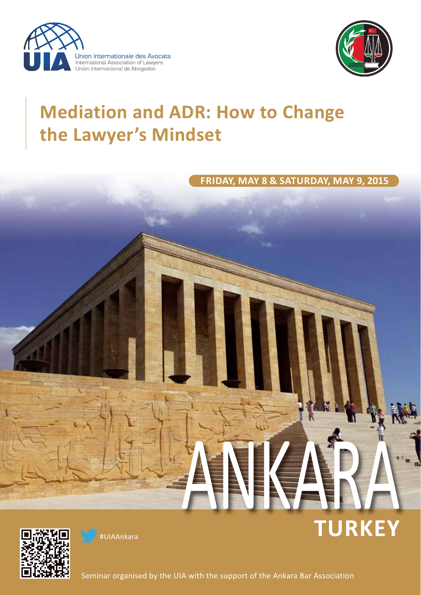



**TURKEY**

# **Mediation and ADR: How to Change the Lawyer's Mindset**

**FRIDAY, MAY 8 & SATURDAY, MAY 9, 2015**

ANKARA



#UIAAnkara

Seminar organised by the UIA with the support of the Ankara Bar Association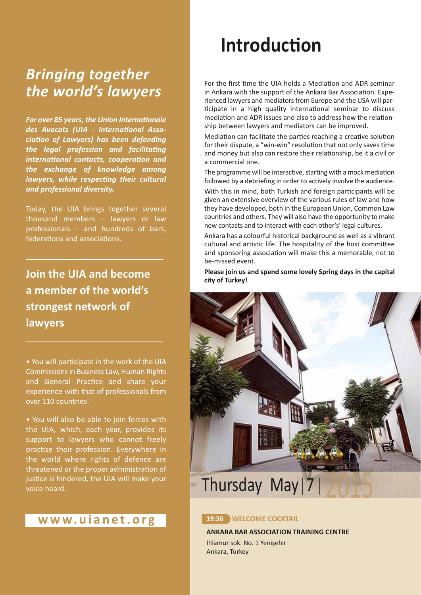# *Bringing together the world's lawyers*

**For over 85 years, the Union Internationale** des Avocats (UIA - International Asso*ciation of Lawyers) has been defending* the legal profession and facilitating *international contacts, cooperation and the exchange of knowledge among lawyers, while respecting their cultural and professional diversity.*

Today, the UIA brings together several thousand members – lawyers or law professionals – and hundreds of bars, federations and associations.

**Join the UIA and become a member of the world's strongest network of lawyers**

• You will participate in the work of the UIA Commissions in Business Law, Human Rights and General Practice and share your experience with that of professionals from over 110 countries.

• You will also be able to join forces with the UIA, which, each year, provides its support to lawyers who cannot freely practise their profession. Everywhere in the world where rights of defence are threatened or the proper administration of justice is hindered, the UIA will make your voice heard.

## **www.uianet.org 19:30 WELCOME COCKTAIL**

# **Introduction**

For the first time the UIA holds a Mediation and ADR seminar in Ankara with the support of the Ankara Bar Association. Experienced lawyers and mediators from Europe and the USA will par ticipate in a high quality international seminar to discuss mediation and ADR issues and also to address how the relationship between lawyers and mediators can be improved.

Mediation can facilitate the parties reaching a creative solution for their dispute, a "win-win" resolution that not only saves time and money but also can restore their relationship, be it a civil or a commercial one.

The programme will be interactive, starting with a mock mediation followed by a debriefing in order to actively involve the audience.

With this in mind, both Turkish and foreign participants will be given an extensive overview of the various rules of law and how they have developed, both in the European Union, Common Law countries and others. They will also have the opportunity to make new contacts and to interact with each other's' legal cultures.

Ankara has a colourful historical background as well as a vibrant cultural and artistic life. The hospitality of the host committee and sponsoring association will make this a memorable, not to be-missed event.

**Please join us and spend some lovely Spring days in the capital city of Turkey!**



**ANKARA BAR ASSOCIATION TRAINING CENTRE** Ihlamur sok. No. 1 Yenişehir Ankara, Turkey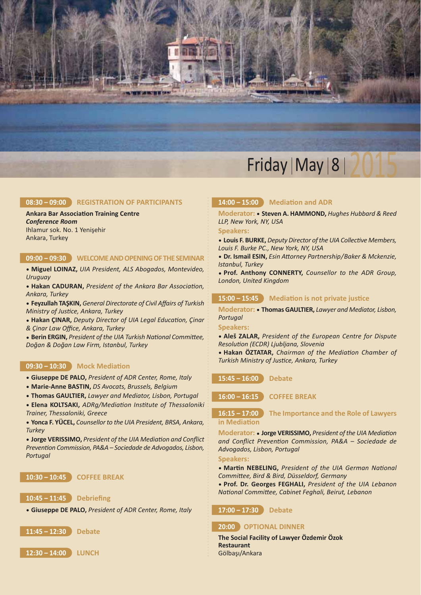

### **08:30 – 09:00 REGISTRATION OF PARTICIPANTS**

### **Ankara Bar Association Training Centre**

*Conference Room* Ihlamur sok. No. 1 Yenişehir Ankara, Turkey

### **09:00 – 09:30 WELCOME AND OPENING OF THE SEMINAR**

• **Miguel LOINAZ,** *UIA President, ALS Abogados, Monte video, Uruguay*

• Hakan CADURAN, President of the Ankara Bar Association, *Ankara, Turkey*

• **Feyzullah TAŞKIN,** *General Directorate of Civil Affairs of Turkish* **Ministry of Justice, Ankara, Turkey** 

 $\bullet$  Hakan ÇINAR, Deputy Director of UIA Legal Education, Çinar *& Çinar Law Office, Ankara, Turkey*

**• Berin ERGIN, President of the UIA Turkish National Committee,** *Doğan & Doğan Law Firm, Istanbul, Turkey* 

### **09:30 - 10:30 Mock Mediation**

- **Giuseppe DE PALO,** *President of ADR Center, Rome, Italy*
- **MarieAnne BASTIN,** *DS Avocats, Brussels, Belgium*
- **Thomas GAULTIER,** *Lawyer and Mediator, Lisbon, Portugal*
- Elena KOLTSAKI, ADRg/Mediation Institute of Thessaloniki *Trainer, Thessaloniki, Greece*

• **Yonca F. YÜCEL,** *Counsellor to the UIA President, BRSA, Ankara, Turkey*

 $\bullet$  Jorge VERISSIMO, President of the UIA Mediation and Conflict Prevention Commission, PA&A - Sociedade de Advogados, Lisbon, *Portugal*

### **10:30 – 10:45 COFFEE BREAK**

**10:45 – 11:45 Debriefing**

• **Giuseppe DE PALO,** *President of ADR Center, Rome, Italy*

**11:45 – 12:30 Debate**

**12:30 – 14:00 LUNCH**

### 14:00 – 15:00 Mediation and ADR

**Moderator:** • **Steven A. HAMMOND,** *Hughes Hubbard & Reed LLP, New York, NY, USA*

#### **Speakers:**

• Louis F. BURKE, Deputy Director of the UIA Collective Members, *Louis F. Burke PC., New York, NY, USA*

• Dr. Ismail ESIN, *Esin Attorney Partnership/Baker & Mckenzie*, *Istanbul, Turkey*

• **Prof. Anthony CONNERTY,** *Counsellor to the ADR Group, London, United Kingdom*

### 15:00 - 15:45 **Mediation is not private justice**

**Moderator:** • **Thomas GAULTIER,** *Lawyer and Mediator, Lisbon, Portugal*

**Speakers:**

• **Aleš ZALAR,** *President of the European Centre for Dispute* **Resolution (ECDR) Ljubljana, Slovenia** 

**• Hakan ÖZTATAR, Chairman of the Mediation Chamber of Turkish Ministry of Justice, Ankara, Turkey** 

**15:45 – 16:00 Debate**

**16:00 – 16:15 COFFEE BREAK**

### **16:15 – 17:00 The Importance and the Role of Lawyers in Mediation**

Moderator: • Jorge VERISSIMO, President of the UIA Mediation and Conflict Prevention Commission, PA&A - Sociedade de *Advo gados, Lisbon, Portugal*

**Speakers:**

• Martin NEBELING, President of the UIA German National *Commiee, Bird & Bird, Düsseldorf, Germany*

• **Prof. Dr. Georges FEGHALI,** *President of the UIA Lebanon* **National Committee, Cabinet Feghali, Beirut, Lebanon** 

#### **17:00 – 17:30 Debate**

#### **20:00 OPTIONAL DINNER**

**The Social Facility of Lawyer Özdemir Özok Restaurant** Gölbaşı/Ankara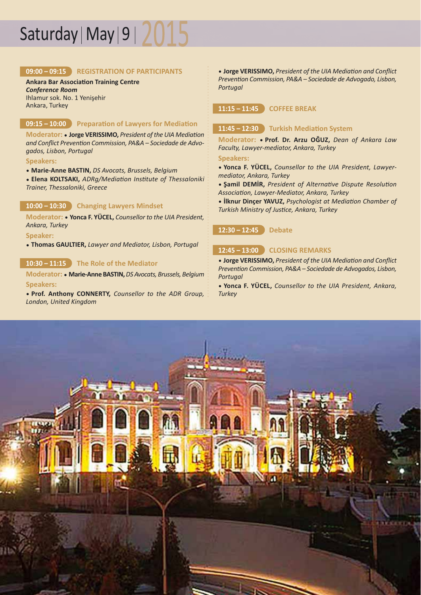# Saturday | May  $|9|$  /  $|$

### **09:00 – 09:15 REGISTRATION OF PARTICIPANTS**

**Ankara Bar Association Training Centre** *Conference Room* Ihlamur sok. No. 1 Yenişehir

Ankara, Turkey

### **09:15 - 10:00 Preparation of Lawyers for Mediation**

Moderator: • Jorge VERISSIMO, President of the UIA Mediation and Conflict Prevention Commission, PA&A - Sociedade de Advo*gados, Lisbon, Portugal*

**Speakers:**

• **MarieAnne BASTIN,** *DS Avocats, Brussels, Belgium*

• Elena KOLTSAKI, ADRg/Mediation Institute of Thessaloniki *Trainer, Thessaloniki, Greece*

### **10:00 – 10:30 Changing Lawyers Mindset**

**Moderator:** • **Yonca F. YÜCEL,** *Counsellor to the UIA President, Ankara, Turkey*

**Speaker:**

• **Thomas GAULTIER,** *Lawyer and Mediator, Lisbon, Portugal*

### **10:30 – 11:15 The Role of the Mediator**

**Moderator:** • **MarieAnne BASTIN,** *DS Avocats, Brussels, Belgium* **Speakers:**

• **Prof. Anthony CONNERTY,** *Counsellor to the ADR Group, London, United Kingdom*

• Jorge VERISSIMO, President of the UIA Mediation and Conflict Prevention Commission, PA&A - Sociedade de Advogado, Lisbon, *Portugal*

### **11:15 – 11:45 COFFEE BREAK**

### 11:45 - 12:30 Turkish Mediation System

**Moderator:** • **Prof. Dr. Arzu OĞUZ,** *Dean of Ankara Law* **Faculty, Lawyer-mediator, Ankara, Turkey** 

**Speakers:**

- **Yonca F. YÜCEL,** *Counsellor to the UIA President, Lawyermediator, Ankara, Turkey*
- Şamil DEMİR, President of Alternative Dispute Resolution Association, Lawyer-Mediator, Ankara, Turkey
- $\bullet$  **İlknur Dinçer YAVUZ, Psychologist at Mediation Chamber of Turkish Ministry of Justice, Ankara, Turkey**

**12:30 – 12:45 Debate**

### **12:45 – 13:00 CLOSING REMARKS**

• Jorge VERISSIMO, President of the UIA Mediation and Conflict Prevention Commission, PA&A - Sociedade de Advogados, Lisbon, *Portugal*

• **Yonca F. YÜCEL,** *Counsellor to the UIA President, Ankara, Turkey*

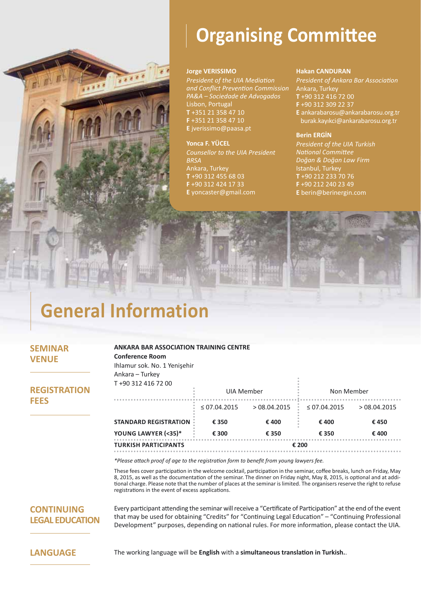

# **Organising Committee**

### **Jorge VERISSIMO**

**President of the UIA Mediation** *and Conflict Preven-on Commission PA&A – Sociedade de Advogados* Lisbon, Portugal **T** +351 21 358 47 10 **F** +351 21 358 47 10 **E** jverissimo@paasa.pt

## **Yonca F. YÜCEL**

*Counsellor to the UIA President BRSA* Ankara, Turkey **T** +90 312 455 68 03 **F** +90 312 424 17 33 **E** yoncaster@gmail.com

### **Hakan CANDURAN**

**President of Ankara Bar Association** Ankara, Turkey **T** +90 312 416 72 00 **F** +90 312 309 22 37 **E** ankarabarosu@ankarabarosu.org.tr burak.kayıkci@ankarabarosu.org.tr

### **Berin ERGİN**

*President of the UIA Turkish*  **National Committee** *Doğan & Doğan Law Firm* Istanbul, Turkey **T** +90 212 233 70 76 **F** +90 212 240 23 49 **E** berin@berinergin.com

# **General Information**

### **SEMINAR VENUE**

**ANKARA BAR ASSOCIATION TRAINING CENTRE Conference Room** Ihlamur sok. No. 1 Yenişehir

## **REGISTRATION FEES**

| Ankara – Turkey              |                   |              |                   |              |
|------------------------------|-------------------|--------------|-------------------|--------------|
| T+90 312 416 72 00           |                   |              |                   |              |
|                              | UIA Member        |              | Non Member        |              |
|                              | $\leq$ 07.04.2015 | > 08.04.2015 | $\leq$ 07.04.2015 | > 08.04.2015 |
| <b>STANDARD REGISTRATION</b> | € 350             | €400         | € 400             | €450         |
| YOUNG LAWYER (<35)*          | € 300             | € 350        | € 350             | €400         |
| <b>TURKISH PARTICIPANTS</b>  |                   | € 200        |                   |              |

\*Please attach proof of age to the registration form to benefit from young lawyers fee.

These fees cover participation in the welcome cocktail, participation in the seminar, coffee breaks, lunch on Friday, May 8, 2015, as well as the documentation of the seminar. The dinner on Friday night, May 8, 2015, is optional and at additional charge. Please note that the number of places at the seminar is limited. The organisers reserve the right to refuse registrations in the event of excess applications.

### **CONTINUING LEGAL EDUCATION**

Every participant attending the seminar will receive a "Certificate of Participation" at the end of the event that may be used for obtaining "Credits" for "Continuing Legal Education" – "Continuing Professional Development" purposes, depending on national rules. For more information, please contact the UIA.

**LANGUAGE** The working language will be **English** with a simultaneous translation in Turkish..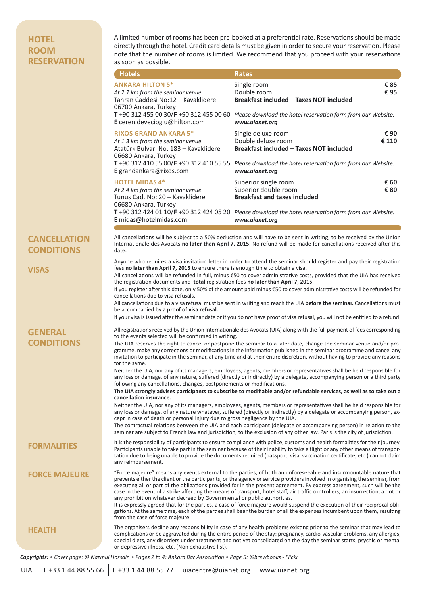### **HOTEL ROOM RESERVATION**

A limited number of rooms has been pre-booked at a preferential rate. Reservations should be made directly through the hotel. Credit card details must be given in order to secure your reservation. Please note that the number of rooms is limited. We recommend that you proceed with your reservations as soon as possible.

|                                          | <b>Hotels</b>                                                                                                                                                                                                                                                                                                                                                                                                                                                                                                                                                                                                                                                                                                                                                                                                                                                                         | <b>Rates</b>                                                                                                                                                                                                                                                                                                                                                                              |  |
|------------------------------------------|---------------------------------------------------------------------------------------------------------------------------------------------------------------------------------------------------------------------------------------------------------------------------------------------------------------------------------------------------------------------------------------------------------------------------------------------------------------------------------------------------------------------------------------------------------------------------------------------------------------------------------------------------------------------------------------------------------------------------------------------------------------------------------------------------------------------------------------------------------------------------------------|-------------------------------------------------------------------------------------------------------------------------------------------------------------------------------------------------------------------------------------------------------------------------------------------------------------------------------------------------------------------------------------------|--|
|                                          | <b>ANKARA HILTON 5*</b><br>At 2.7 km from the seminar venue<br>Tahran Caddesi No:12 - Kavaklidere<br>06700 Ankara, Turkey                                                                                                                                                                                                                                                                                                                                                                                                                                                                                                                                                                                                                                                                                                                                                             | Single room<br>€85<br>Double room<br>€95<br><b>Breakfast included - Taxes NOT included</b>                                                                                                                                                                                                                                                                                                |  |
|                                          | E ceren.devecioglu@hilton.com                                                                                                                                                                                                                                                                                                                                                                                                                                                                                                                                                                                                                                                                                                                                                                                                                                                         | T +90 312 455 00 30/F +90 312 455 00 60 Please download the hotel reservation form from our Website:<br>www.uianet.org                                                                                                                                                                                                                                                                    |  |
|                                          | <b>RIXOS GRAND ANKARA 5*</b><br>At 1.3 km from the seminar venue<br>Atatürk Bulvarı No: 183 - Kavaklidere<br>06680 Ankara, Turkey                                                                                                                                                                                                                                                                                                                                                                                                                                                                                                                                                                                                                                                                                                                                                     | Single deluxe room<br>€ 90<br>Double deluxe room<br>€ 110<br><b>Breakfast included - Taxes NOT included</b>                                                                                                                                                                                                                                                                               |  |
|                                          | E grandankara@rixos.com                                                                                                                                                                                                                                                                                                                                                                                                                                                                                                                                                                                                                                                                                                                                                                                                                                                               | T +90 312 410 55 00/F +90 312 410 55 55 Please download the hotel reservation form from our Website:<br>www.uianet.org                                                                                                                                                                                                                                                                    |  |
|                                          | <b>HOTEL MIDAS 4*</b><br>At 2.4 km from the seminar venue<br>Tunus Cad. No: 20 - Kavaklidere<br>06680 Ankara, Turkey                                                                                                                                                                                                                                                                                                                                                                                                                                                                                                                                                                                                                                                                                                                                                                  | € 60<br>Superior single room<br>Superior double room<br>€ 80<br><b>Breakfast and taxes included</b><br>T +90 312 424 01 10/F +90 312 424 05 20 Please download the hotel reservation form from our Website:                                                                                                                                                                               |  |
|                                          | E midas@hotelmidas.com                                                                                                                                                                                                                                                                                                                                                                                                                                                                                                                                                                                                                                                                                                                                                                                                                                                                | www.uianet.org                                                                                                                                                                                                                                                                                                                                                                            |  |
| <b>CANCELLATION</b><br><b>CONDITIONS</b> | date.                                                                                                                                                                                                                                                                                                                                                                                                                                                                                                                                                                                                                                                                                                                                                                                                                                                                                 | All cancellations will be subject to a 50% deduction and will have to be sent in writing, to be received by the Union<br>Internationale des Avocats no later than April 7, 2015. No refund will be made for cancellations received after this                                                                                                                                             |  |
| <b>VISAS</b>                             | Anyone who requires a visa invitation letter in order to attend the seminar should register and pay their registration<br>fees no later than April 7, 2015 to ensure there is enough time to obtain a visa.<br>All cancellations will be refunded in full, minus €50 to cover administrative costs, provided that the UIA has received<br>the registration documents and total registration fees no later than April 7, 2015.                                                                                                                                                                                                                                                                                                                                                                                                                                                         |                                                                                                                                                                                                                                                                                                                                                                                           |  |
|                                          | cancellations due to visa refusals.<br>be accompanied by a proof of visa refusal.                                                                                                                                                                                                                                                                                                                                                                                                                                                                                                                                                                                                                                                                                                                                                                                                     | If you register after this date, only 50% of the amount paid minus €50 to cover administrative costs will be refunded for<br>All cancellations due to a visa refusal must be sent in writing and reach the UIA before the seminar. Cancellations must<br>If your visa is issued after the seminar date or if you do not have proof of visa refusal, you will not be entitled to a refund. |  |
| <b>GENERAL</b>                           |                                                                                                                                                                                                                                                                                                                                                                                                                                                                                                                                                                                                                                                                                                                                                                                                                                                                                       | All registrations received by the Union Internationale des Avocats (UIA) along with the full payment of fees corresponding                                                                                                                                                                                                                                                                |  |
| <b>CONDITIONS</b>                        | to the events selected will be confirmed in writing.<br>The UIA reserves the right to cancel or postpone the seminar to a later date, change the seminar venue and/or pro-<br>gramme, make any corrections or modifications in the information published in the seminar programme and cancel any<br>invitation to participate in the seminar, at any time and at their entire discretion, without having to provide any reasons<br>for the same.                                                                                                                                                                                                                                                                                                                                                                                                                                      |                                                                                                                                                                                                                                                                                                                                                                                           |  |
|                                          | following any cancellations, changes, postponements or modifications.                                                                                                                                                                                                                                                                                                                                                                                                                                                                                                                                                                                                                                                                                                                                                                                                                 | Neither the UIA, nor any of its managers, employees, agents, members or representatives shall be held responsible for<br>any loss or damage, of any nature, suffered (directly or indirectly) by a delegate, accompanying person or a third party                                                                                                                                         |  |
|                                          | The UIA strongly advises participants to subscribe to modifiable and/or refundable services, as well as to take out a<br>cancellation insurance.                                                                                                                                                                                                                                                                                                                                                                                                                                                                                                                                                                                                                                                                                                                                      |                                                                                                                                                                                                                                                                                                                                                                                           |  |
|                                          | cept in case of death or personal injury due to gross negligence by the UIA.                                                                                                                                                                                                                                                                                                                                                                                                                                                                                                                                                                                                                                                                                                                                                                                                          | Neither the UIA, nor any of its managers, employees, agents, members or representatives shall be held responsible for<br>any loss or damage, of any nature whatever, suffered (directly or indirectly) by a delegate or accompanying person, ex-                                                                                                                                          |  |
|                                          |                                                                                                                                                                                                                                                                                                                                                                                                                                                                                                                                                                                                                                                                                                                                                                                                                                                                                       | The contractual relations between the UIA and each participant (delegate or accompanying person) in relation to the<br>seminar are subject to French law and jurisdiction, to the exclusion of any other law. Paris is the city of jurisdiction.                                                                                                                                          |  |
| <b>FORMALITIES</b>                       | any reimbursement.                                                                                                                                                                                                                                                                                                                                                                                                                                                                                                                                                                                                                                                                                                                                                                                                                                                                    | It is the responsibility of participants to ensure compliance with police, customs and health formalities for their journey.<br>Participants unable to take part in the seminar because of their inability to take a flight or any other means of transpor-<br>tation due to being unable to provide the documents required (passport, visa, vaccination certificate, etc.) cannot claim  |  |
| <b>FORCE MAJEURE</b>                     | "Force majeure" means any events external to the parties, of both an unforeseeable and insurmountable nature that<br>prevents either the client or the participants, or the agency or service providers involved in organising the seminar, from<br>executing all or part of the obligations provided for in the present agreement. By express agreement, such will be the<br>case in the event of a strike affecting the means of transport, hotel staff, air traffic controllers, an insurrection, a riot or<br>any prohibition whatever decreed by Governmental or public authorities.<br>It is expressly agreed that for the parties, a case of force majeure would suspend the execution of their reciprocal obli-<br>gations. At the same time, each of the parties shall bear the burden of all the expenses incumbent upon them, resulting<br>from the case of force majeure. |                                                                                                                                                                                                                                                                                                                                                                                           |  |
| HEALTH                                   | or depressive illness, etc. (Non exhaustive list).                                                                                                                                                                                                                                                                                                                                                                                                                                                                                                                                                                                                                                                                                                                                                                                                                                    | The organisers decline any responsibility in case of any health problems existing prior to the seminar that may lead to<br>complications or be aggravated during the entire period of the stay: pregnancy, cardio-vascular problems, any allergies,<br>special diets, any disorders under treatment and not yet consolidated on the day the seminar starts, psychic or mental             |  |

Copyrights: • Cover page: © Nazmul Hossain • Pages 2 to 4: Ankara Bar Association • Page 5: ©brewbooks - Flickr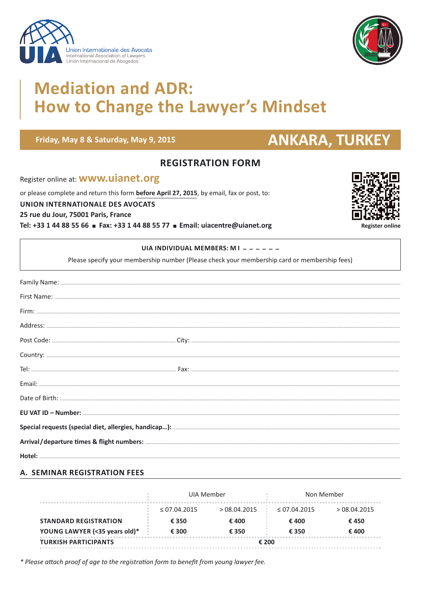



# **Mediation and ADR: How to Change the Lawyer's Mindset**

### Friday, May 8 & Saturday, May 9, 2015

# **ANKARA, TURKEY**

## **REGISTRATION FORM**

Register online at: **WWW.uianet.org** 

or please complete and return this form before April 27, 2015, by email, fax or post, to:

**UNION INTERNATIONALE DES AVOCATS** 

25 rue du Jour, 75001 Paris, France

Tel: +33 1 44 88 55 66 = Fax: +33 1 44 88 55 77 = Email: uiacentre@uianet.org

| <b>Register online</b> |
|------------------------|

### UIA INDIVIDUAL MEMBERS: M I - - - - - -

Please specify your membership number (Please check your membership card or membership fees)

### **A. SEMINAR REGISTRATION FEES**

|                               | UIA Member   |              | Non Member   |              |
|-------------------------------|--------------|--------------|--------------|--------------|
|                               | < 07.04.2015 | > 08.04.2015 | < 07.04.2015 | > 08.04.2015 |
| <b>STANDARD REGISTRATION</b>  | € 350        | € 400        | € 400        | €450         |
| YOUNG LAWYER (<35 years old)* | € 300        | € 350        | € 350        | € 400        |
| <b>TURKISH PARTICIPANTS</b>   | € 200        |              |              |              |

\* Please attach proof of age to the registration form to benefit from young lawyer fee.